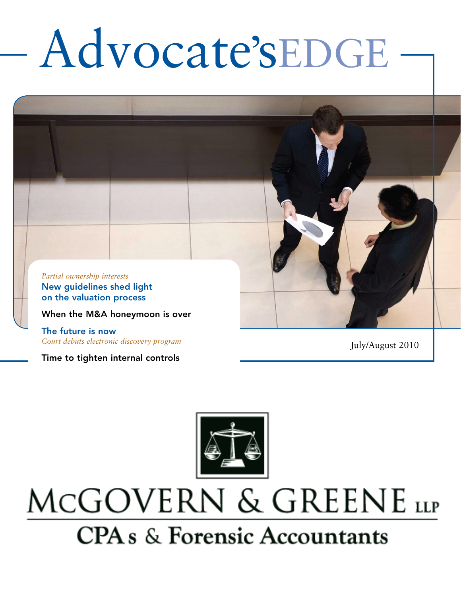# Advocate'sEDGE



*Court debuts electronic discovery program*

Time to tighten internal controls

July/August 2010



## MCGOVERN & GREENE LLP **CPA** s & Forensic Accountants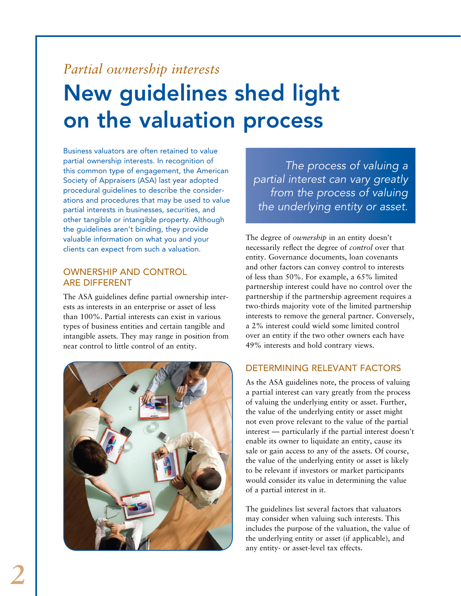## *Partial ownership interests* New guidelines shed light on the valuation process

Business valuators are often retained to value partial ownership interests. In recognition of this common type of engagement, the American Society of Appraisers (ASA) last year adopted procedural guidelines to describe the considerations and procedures that may be used to value partial interests in businesses, securities, and other tangible or intangible property. Although the guidelines aren't binding, they provide valuable information on what you and your clients can expect from such a valuation.

#### Ownership and control are different

The ASA guidelines define partial ownership interests as interests in an enterprise or asset of less than 100%. Partial interests can exist in various types of business entities and certain tangible and intangible assets. They may range in position from near control to little control of an entity.



*The process of valuing a partial interest can vary greatly from the process of valuing the underlying entity or asset.* 

The degree of *ownership* in an entity doesn't necessarily reflect the degree of *control* over that entity. Governance documents, loan covenants and other factors can convey control to interests of less than 50%. For example, a 65% limited partnership interest could have no control over the partnership if the partnership agreement requires a two-thirds majority vote of the limited partnership interests to remove the general partner. Conversely, a 2% interest could wield some limited control over an entity if the two other owners each have 49% interests and hold contrary views.

#### Determining relevant factors

As the ASA guidelines note, the process of valuing a partial interest can vary greatly from the process of valuing the underlying entity or asset. Further, the value of the underlying entity or asset might not even prove relevant to the value of the partial interest — particularly if the partial interest doesn't enable its owner to liquidate an entity, cause its sale or gain access to any of the assets. Of course, the value of the underlying entity or asset is likely to be relevant if investors or market participants would consider its value in determining the value of a partial interest in it.

The guidelines list several factors that valuators may consider when valuing such interests. This includes the purpose of the valuation, the value of the underlying entity or asset (if applicable), and any entity- or asset-level tax effects.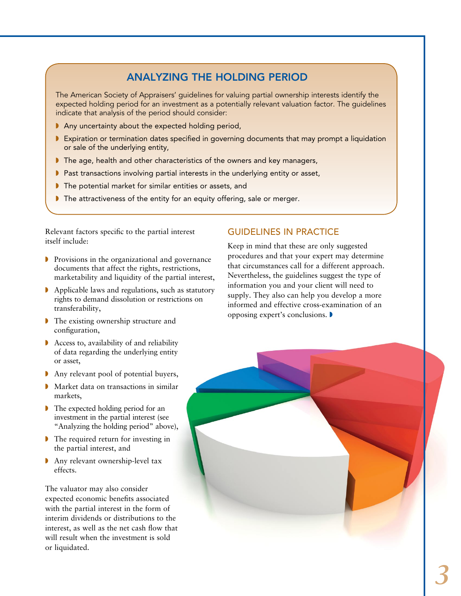#### Analyzing the holding period

The American Society of Appraisers' guidelines for valuing partial ownership interests identify the expected holding period for an investment as a potentially relevant valuation factor. The guidelines indicate that analysis of the period should consider:

- $\blacktriangleright$  Any uncertainty about the expected holding period,
- **Expiration or termination dates specified in governing documents that may prompt a liquidation** or sale of the underlying entity,
- The age, health and other characteristics of the owners and key managers,
- $\blacktriangleright$  Past transactions involving partial interests in the underlying entity or asset,
- $\blacktriangleright$  The potential market for similar entities or assets, and
- $\blacktriangleright$  The attractiveness of the entity for an equity offering, sale or merger.

Relevant factors specific to the partial interest itself include:

- $\triangleright$  Provisions in the organizational and governance documents that affect the rights, restrictions, marketability and liquidity of the partial interest,
- $\blacktriangleright$  Applicable laws and regulations, such as statutory rights to demand dissolution or restrictions on transferability,
- **I** The existing ownership structure and configuration,
- $\blacktriangleright$  Access to, availability of and reliability of data regarding the underlying entity or asset,
- Any relevant pool of potential buyers,
- $\blacktriangleright$  Market data on transactions in similar markets,
- $\triangleright$  The expected holding period for an investment in the partial interest (see "Analyzing the holding period" above),
- $\triangleright$  The required return for investing in the partial interest, and
- $\blacktriangleright$  Any relevant ownership-level tax effects.

The valuator may also consider expected economic benefits associated with the partial interest in the form of interim dividends or distributions to the interest, as well as the net cash flow that will result when the investment is sold or liquidated.

#### Guidelines in practice

Keep in mind that these are only suggested procedures and that your expert may determine that circumstances call for a different approach. Nevertheless, the guidelines suggest the type of information you and your client will need to supply. They also can help you develop a more informed and effective cross-examination of an opposing expert's conclusions.

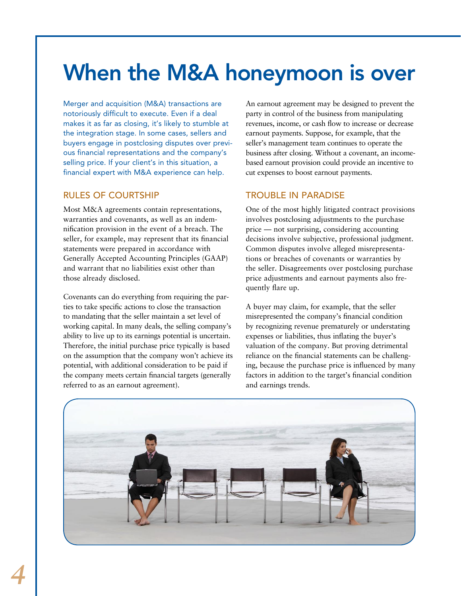## When the M&A honeymoon is over

Merger and acquisition (M&A) transactions are notoriously difficult to execute. Even if a deal makes it as far as closing, it's likely to stumble at the integration stage. In some cases, sellers and buyers engage in postclosing disputes over previous financial representations and the company's selling price. If your client's in this situation, a financial expert with M&A experience can help.

#### Rules of courtship

Most M&A agreements contain representations, warranties and covenants, as well as an indemnification provision in the event of a breach. The seller, for example, may represent that its financial statements were prepared in accordance with Generally Accepted Accounting Principles (GAAP) and warrant that no liabilities exist other than those already disclosed.

Covenants can do everything from requiring the parties to take specific actions to close the transaction to mandating that the seller maintain a set level of working capital. In many deals, the selling company's ability to live up to its earnings potential is uncertain. Therefore, the initial purchase price typically is based on the assumption that the company won't achieve its potential, with additional consideration to be paid if the company meets certain financial targets (generally referred to as an earnout agreement).

An earnout agreement may be designed to prevent the party in control of the business from manipulating revenues, income, or cash flow to increase or decrease earnout payments. Suppose, for example, that the seller's management team continues to operate the business after closing. Without a covenant, an incomebased earnout provision could provide an incentive to cut expenses to boost earnout payments.

#### Trouble in paradise

One of the most highly litigated contract provisions involves postclosing adjustments to the purchase price — not surprising, considering accounting decisions involve subjective, professional judgment. Common disputes involve alleged misrepresentations or breaches of covenants or warranties by the seller. Disagreements over postclosing purchase price adjustments and earnout payments also frequently flare up.

A buyer may claim, for example, that the seller misrepresented the company's financial condition by recognizing revenue prematurely or understating expenses or liabilities, thus inflating the buyer's valuation of the company. But proving detrimental reliance on the financial statements can be challenging, because the purchase price is influenced by many factors in addition to the target's financial condition and earnings trends.

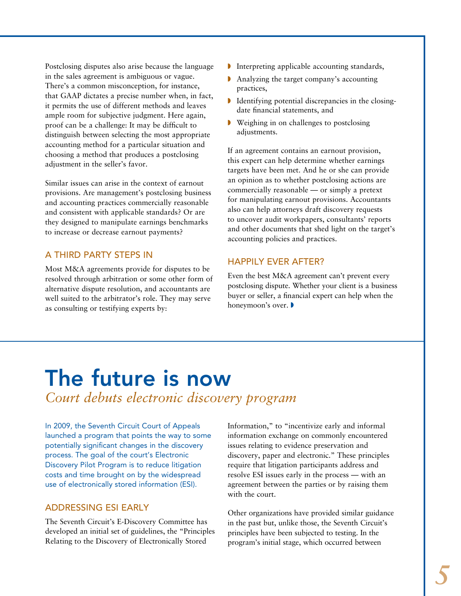Postclosing disputes also arise because the language in the sales agreement is ambiguous or vague. There's a common misconception, for instance, that GAAP dictates a precise number when, in fact, it permits the use of different methods and leaves ample room for subjective judgment. Here again, proof can be a challenge: It may be difficult to distinguish between selecting the most appropriate accounting method for a particular situation and choosing a method that produces a postclosing adjustment in the seller's favor.

Similar issues can arise in the context of earnout provisions. Are management's postclosing business and accounting practices commercially reasonable and consistent with applicable standards? Or are they designed to manipulate earnings benchmarks to increase or decrease earnout payments?

#### A third party steps in

Most M&A agreements provide for disputes to be resolved through arbitration or some other form of alternative dispute resolution, and accountants are well suited to the arbitrator's role. They may serve as consulting or testifying experts by:

- $\blacktriangleright$  Interpreting applicable accounting standards,
- $\blacksquare$  Analyzing the target company's accounting practices,
- $\blacksquare$  Identifying potential discrepancies in the closingdate financial statements, and
- **Weighing in on challenges to postclosing** adjustments.

If an agreement contains an earnout provision, this expert can help determine whether earnings targets have been met. And he or she can provide an opinion as to whether postclosing actions are commercially reasonable — or simply a pretext for manipulating earnout provisions. Accountants also can help attorneys draft discovery requests to uncover audit workpapers, consultants' reports and other documents that shed light on the target's accounting policies and practices.

#### Happily ever after?

Even the best M&A agreement can't prevent every postclosing dispute. Whether your client is a business buyer or seller, a financial expert can help when the honeymoon's over.

### The future is now *Court debuts electronic discovery program*

In 2009, the Seventh Circuit Court of Appeals launched a program that points the way to some potentially significant changes in the discovery process. The goal of the court's Electronic Discovery Pilot Program is to reduce litigation costs and time brought on by the widespread use of electronically stored information (ESI).

#### Addressing ESI early

The Seventh Circuit's E-Discovery Committee has developed an initial set of guidelines, the "Principles Relating to the Discovery of Electronically Stored

Information," to "incentivize early and informal information exchange on commonly encountered issues relating to evidence preservation and discovery, paper and electronic." These principles require that litigation participants address and resolve ESI issues early in the process — with an agreement between the parties or by raising them with the court.

Other organizations have provided similar guidance in the past but, unlike those, the Seventh Circuit's principles have been subjected to testing. In the program's initial stage, which occurred between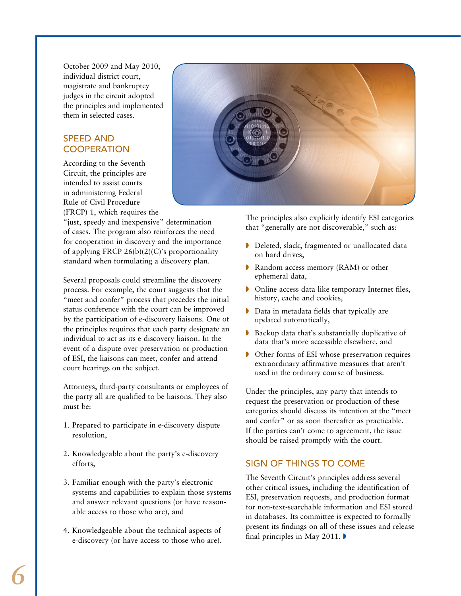October 2009 and May 2010, individual district court, magistrate and bankruptcy judges in the circuit adopted the principles and implemented them in selected cases.

#### **SPEED AND COOPERATION**

According to the Seventh Circuit, the principles are intended to assist courts in administering Federal Rule of Civil Procedure (FRCP) 1, which requires the

"just, speedy and inexpensive" determination of cases. The program also reinforces the need for cooperation in discovery and the importance of applying FRCP 26(b)(2)(C)'s proportionality standard when formulating a discovery plan.

Several proposals could streamline the discovery process. For example, the court suggests that the "meet and confer" process that precedes the initial status conference with the court can be improved by the participation of e-discovery liaisons. One of the principles requires that each party designate an individual to act as its e-discovery liaison. In the event of a dispute over preservation or production of ESI, the liaisons can meet, confer and attend court hearings on the subject.

Attorneys, third-party consultants or employees of the party all are qualified to be liaisons. They also must be:

- 1. Prepared to participate in e-discovery dispute resolution,
- 2. Knowledgeable about the party's e-discovery efforts,
- 3. Familiar enough with the party's electronic systems and capabilities to explain those systems and answer relevant questions (or have reasonable access to those who are), and
- 4. Knowledgeable about the technical aspects of e-discovery (or have access to those who are).



The principles also explicitly identify ESI categories that "generally are not discoverable," such as:

- Deleted, slack, fragmented or unallocated data on hard drives,
- Random access memory (RAM) or other ephemeral data,
- **D** Online access data like temporary Internet files, history, cache and cookies,
- $\triangleright$  Data in metadata fields that typically are updated automatically,
- $\blacktriangleright$  Backup data that's substantially duplicative of data that's more accessible elsewhere, and
- **I** Other forms of ESI whose preservation requires extraordinary affirmative measures that aren't used in the ordinary course of business.

Under the principles, any party that intends to request the preservation or production of these categories should discuss its intention at the "meet and confer" or as soon thereafter as practicable. If the parties can't come to agreement, the issue should be raised promptly with the court.

#### Sign of things to come

The Seventh Circuit's principles address several other critical issues, including the identification of ESI, preservation requests, and production format for non-text-searchable information and ESI stored in databases. Its committee is expected to formally present its findings on all of these issues and release final principles in May 2011.  $\blacktriangleright$